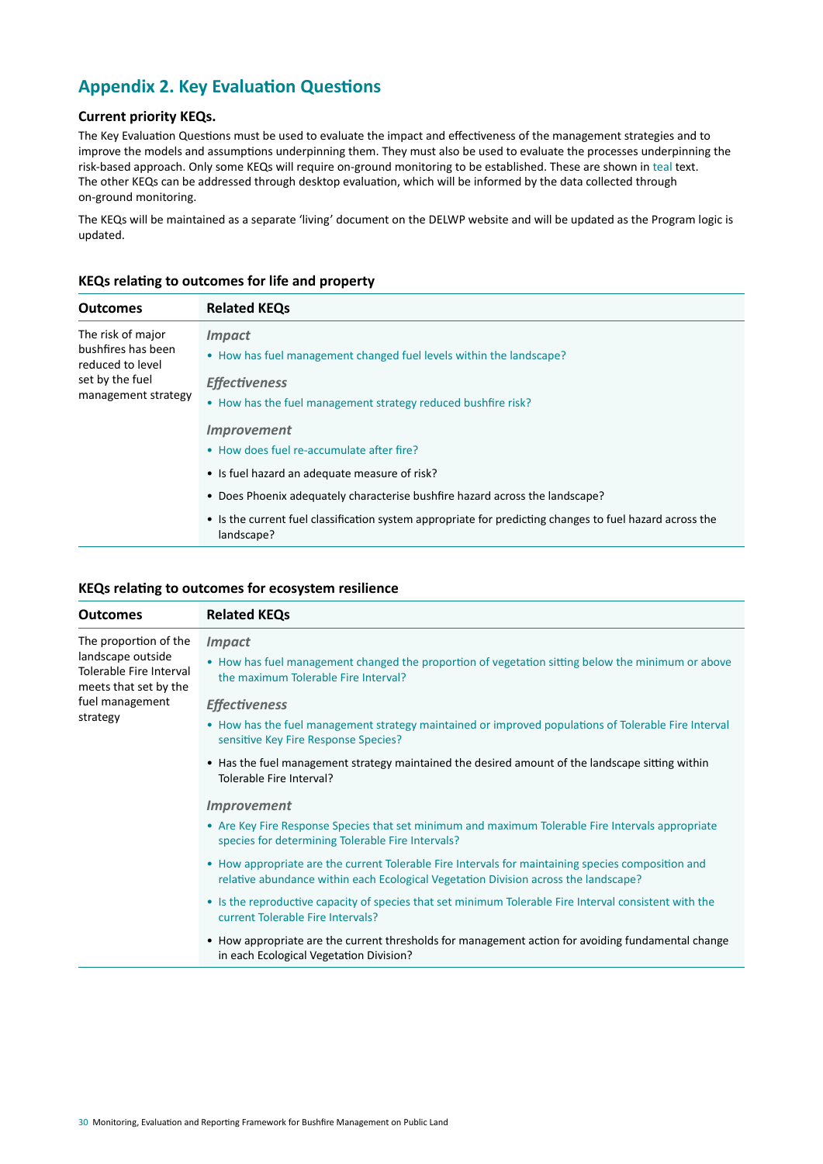# **Appendix 2. Key Evaluation Questions**

## **Current priority KEQs.**

The Key Evaluation Questions must be used to evaluate the impact and effectiveness of the management strategies and to improve the models and assumptions underpinning them. They must also be used to evaluate the processes underpinning the risk-based approach. Only some KEQs will require on-ground monitoring to be established. These are shown in teal text. The other KEQs can be addressed through desktop evaluation, which will be informed by the data collected through on-ground monitoring.

The KEQs will be maintained as a separate 'living' document on the DELWP website and will be updated as the Program logic is updated.

| <b>Outcomes</b>                                                                                       | <b>Related KEQs</b>                                                                                                    |
|-------------------------------------------------------------------------------------------------------|------------------------------------------------------------------------------------------------------------------------|
| The risk of major<br>bushfires has been<br>reduced to level<br>set by the fuel<br>management strategy | <i><b>Impact</b></i><br>• How has fuel management changed fuel levels within the landscape?                            |
|                                                                                                       | <b>Effectiveness</b><br>• How has the fuel management strategy reduced bushfire risk?                                  |
|                                                                                                       | <b>Improvement</b>                                                                                                     |
|                                                                                                       | • How does fuel re-accumulate after fire?                                                                              |
|                                                                                                       | • Is fuel hazard an adequate measure of risk?                                                                          |
|                                                                                                       | • Does Phoenix adequately characterise bushfire hazard across the landscape?                                           |
|                                                                                                       | • Is the current fuel classification system appropriate for predicting changes to fuel hazard across the<br>landscape? |

## **KEQs relating to outcomes for life and property**

#### **KEQs relating to outcomes for ecosystem resilience**

| <b>Outcomes</b>                                                                                                               | <b>Related KEQs</b>                                                                                                                                                                       |
|-------------------------------------------------------------------------------------------------------------------------------|-------------------------------------------------------------------------------------------------------------------------------------------------------------------------------------------|
| The proportion of the<br>landscape outside<br>Tolerable Fire Interval<br>meets that set by the<br>fuel management<br>strategy | <i><b>Impact</b></i><br>• How has fuel management changed the proportion of vegetation sitting below the minimum or above<br>the maximum Tolerable Fire Interval?                         |
|                                                                                                                               | <b>Effectiveness</b><br>• How has the fuel management strategy maintained or improved populations of Tolerable Fire Interval<br>sensitive Key Fire Response Species?                      |
|                                                                                                                               | • Has the fuel management strategy maintained the desired amount of the landscape sitting within<br>Tolerable Fire Interval?                                                              |
|                                                                                                                               | <b>Improvement</b>                                                                                                                                                                        |
|                                                                                                                               | • Are Key Fire Response Species that set minimum and maximum Tolerable Fire Intervals appropriate<br>species for determining Tolerable Fire Intervals?                                    |
|                                                                                                                               | • How appropriate are the current Tolerable Fire Intervals for maintaining species composition and<br>relative abundance within each Ecological Vegetation Division across the landscape? |
|                                                                                                                               | • Is the reproductive capacity of species that set minimum Tolerable Fire Interval consistent with the<br>current Tolerable Fire Intervals?                                               |
|                                                                                                                               | • How appropriate are the current thresholds for management action for avoiding fundamental change<br>in each Ecological Vegetation Division?                                             |